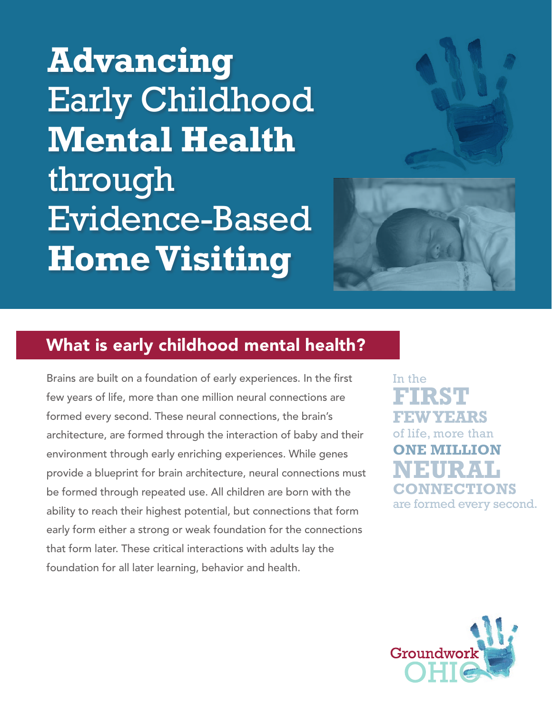**Advancing** Early Childhood **Mental Health** through Evidence-Based **Home Visiting**



## What is early childhood mental health?

Brains are built on a foundation of early experiences. In the first few years of life, more than one million neural connections are formed every second. These neural connections, the brain's architecture, are formed through the interaction of baby and their environment through early enriching experiences. While genes provide a blueprint for brain architecture, neural connections must be formed through repeated use. All children are born with the ability to reach their highest potential, but connections that form early form either a strong or weak foundation for the connections that form later. These critical interactions with adults lay the foundation for all later learning, behavior and health.

In the **FIRST FEW YEARS** of life, more than **ONE MILLION NEURAL CONNECTIONS** are formed every second.

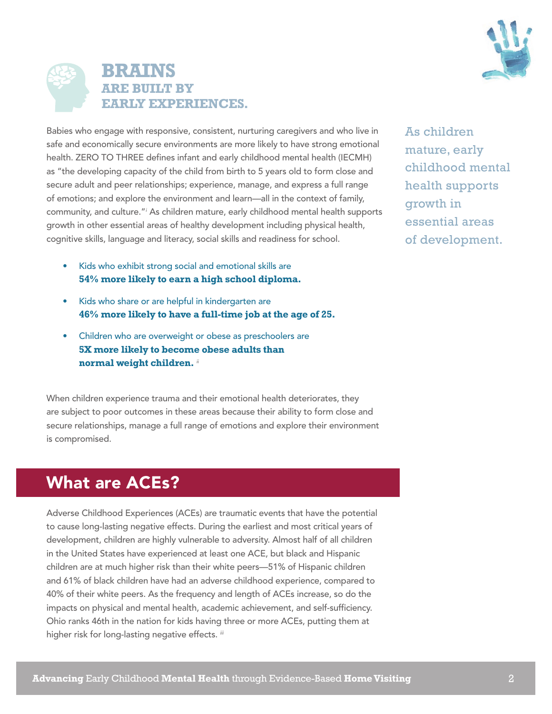



Babies who engage with responsive, consistent, nurturing caregivers and who live in safe and economically secure environments are more likely to have strong emotional health. ZERO TO THREE defines infant and early childhood mental health (IECMH) as "the developing capacity of the child from birth to 5 years old to form close and secure adult and peer relationships; experience, manage, and express a full range of emotions; and explore the environment and learn—all in the context of family, community, and culture."<sup>*i*</sup> As children mature, early childhood mental health supports growth in other essential areas of healthy development including physical health, cognitive skills, language and literacy, social skills and readiness for school.

- Kids who exhibit strong social and emotional skills are **54% more likely to earn a high school diploma.**
- Kids who share or are helpful in kindergarten are **46% more likely to have a full-time job at the age of 25.**
- Children who are overweight or obese as preschoolers are **5X more likely to become obese adults than normal weight children.** *ii*

When children experience trauma and their emotional health deteriorates, they are subject to poor outcomes in these areas because their ability to form close and secure relationships, manage a full range of emotions and explore their environment is compromised.

# What are ACEs?

Adverse Childhood Experiences (ACEs) are traumatic events that have the potential to cause long-lasting negative effects. During the earliest and most critical years of development, children are highly vulnerable to adversity. Almost half of all children in the United States have experienced at least one ACE, but black and Hispanic children are at much higher risk than their white peers—51% of Hispanic children and 61% of black children have had an adverse childhood experience, compared to 40% of their white peers. As the frequency and length of ACEs increase, so do the impacts on physical and mental health, academic achievement, and self-sufficiency. Ohio ranks 46th in the nation for kids having three or more ACEs, putting them at higher risk for long-lasting negative effects. *iii*

As children mature, early childhood mental health supports growth in essential areas of development.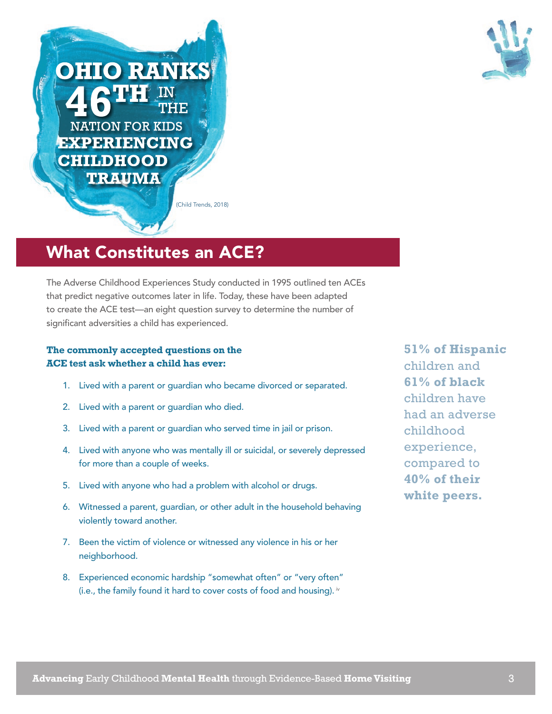

**NATION FOR KIDS** EXPERIENCING **CHILDHOOD** TRAUMA

**OHIO RANKS** 

(Child Trends, 2018)

## What Constitutes an ACE?

The Adverse Childhood Experiences Study conducted in 1995 outlined ten ACEs that predict negative outcomes later in life. Today, these have been adapted to create the ACE test—an eight question survey to determine the number of significant adversities a child has experienced.

### **The commonly accepted questions on the ACE test ask whether a child has ever:**

- 1. Lived with a parent or guardian who became divorced or separated.
- 2. Lived with a parent or guardian who died.
- 3. Lived with a parent or guardian who served time in jail or prison.
- 4. Lived with anyone who was mentally ill or suicidal, or severely depressed for more than a couple of weeks.
- 5. Lived with anyone who had a problem with alcohol or drugs.
- 6. Witnessed a parent, guardian, or other adult in the household behaving violently toward another.
- 7. Been the victim of violence or witnessed any violence in his or her neighborhood.
- 8. Experienced economic hardship "somewhat often" or "very often" (i.e., the family found it hard to cover costs of food and housing). *iv*

**51% of Hispanic**  children and **61% of black** children have had an adverse childhood experience, compared to **40% of their white peers.**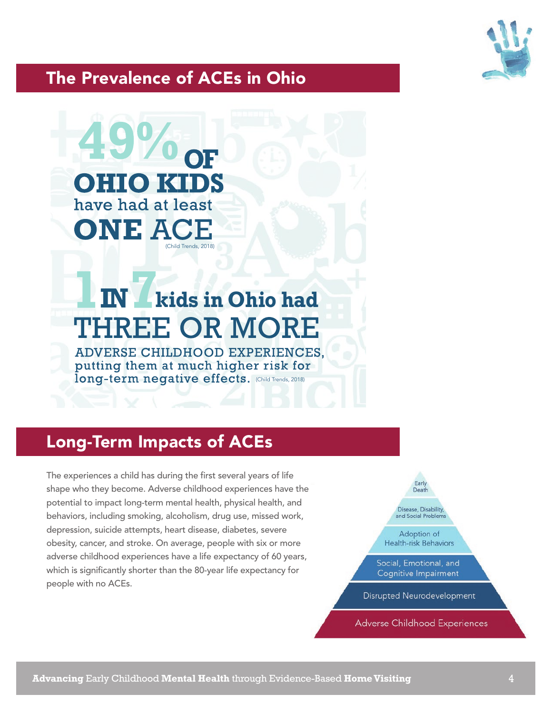

## The Prevalence of ACEs in Ohio



# TNT **kids in Ohio hadTHREE OR MORE**

**ADVERSE CHILDHOOD EXPERIENCES.** putting them at much higher risk for Iong-term negative effects. (Child Trends, 2018)

# Long-Term Impacts of ACEs

The experiences a child has during the first several years of life shape who they become. Adverse childhood experiences have the potential to impact long-term mental health, physical health, and behaviors, including smoking, alcoholism, drug use, missed work, depression, suicide attempts, heart disease, diabetes, severe obesity, cancer, and stroke. On average, people with six or more adverse childhood experiences have a life expectancy of 60 years, which is significantly shorter than the 80-year life expectancy for people with no ACEs.



**Adverse Childhood Experiences**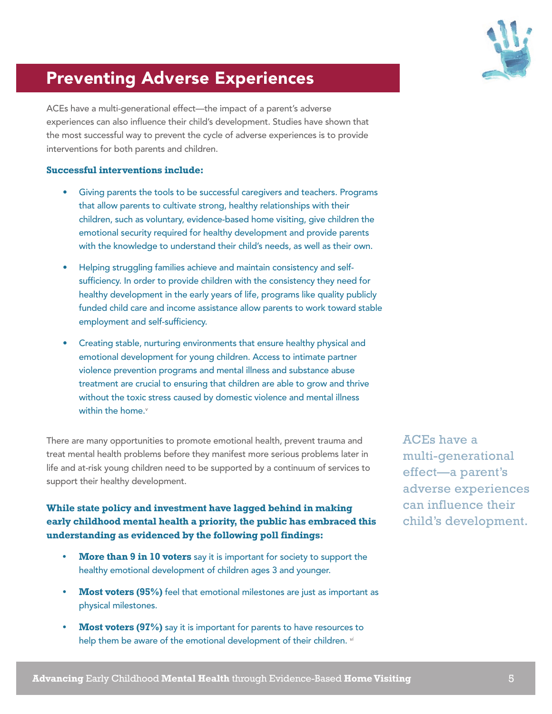

# Preventing Adverse Experiences

ACEs have a multi-generational effect—the impact of a parent's adverse experiences can also influence their child's development. Studies have shown that the most successful way to prevent the cycle of adverse experiences is to provide interventions for both parents and children.

#### **Successful interventions include:**

- Giving parents the tools to be successful caregivers and teachers. Programs that allow parents to cultivate strong, healthy relationships with their children, such as voluntary, evidence-based home visiting, give children the emotional security required for healthy development and provide parents with the knowledge to understand their child's needs, as well as their own.
- Helping struggling families achieve and maintain consistency and selfsufficiency. In order to provide children with the consistency they need for healthy development in the early years of life, programs like quality publicly funded child care and income assistance allow parents to work toward stable employment and self-sufficiency.
- Creating stable, nurturing environments that ensure healthy physical and emotional development for young children. Access to intimate partner violence prevention programs and mental illness and substance abuse treatment are crucial to ensuring that children are able to grow and thrive without the toxic stress caused by domestic violence and mental illness within the home.*<sup>v</sup>*

There are many opportunities to promote emotional health, prevent trauma and treat mental health problems before they manifest more serious problems later in life and at-risk young children need to be supported by a continuum of services to support their healthy development.

### **While state policy and investment have lagged behind in making early childhood mental health a priority, the public has embraced this understanding as evidenced by the following poll findings:**

- **• More than 9 in 10 voters** say it is important for society to support the healthy emotional development of children ages 3 and younger.
- **Most voters (95%)** feel that emotional milestones are just as important as physical milestones.
- **Most voters (97%)** say it is important for parents to have resources to help them be aware of the emotional development of their children. *vi*

ACEs have a multi-generational effect—a parent's adverse experiences can influence their child's development.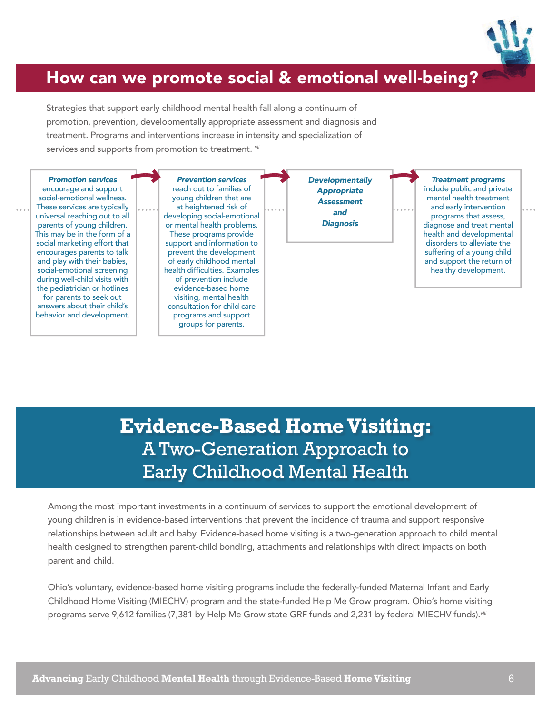

## How can we promote social & emotional well-being?

Strategies that support early childhood mental health fall along a continuum of promotion, prevention, developmentally appropriate assessment and diagnosis and treatment. Programs and interventions increase in intensity and specialization of services and supports from promotion to treatment. *vii*



# **Evidence-Based Home Visiting:**  A Two-Generation Approach to Early Childhood Mental Health

Among the most important investments in a continuum of services to support the emotional development of young children is in evidence-based interventions that prevent the incidence of trauma and support responsive relationships between adult and baby. Evidence-based home visiting is a two-generation approach to child mental health designed to strengthen parent-child bonding, attachments and relationships with direct impacts on both parent and child.

Ohio's voluntary, evidence-based home visiting programs include the federally-funded Maternal Infant and Early Childhood Home Visiting (MIECHV) program and the state-funded Help Me Grow program. Ohio's home visiting programs serve 9,612 families (7,381 by Help Me Grow state GRF funds and 2,231 by federal MIECHV funds).*viii*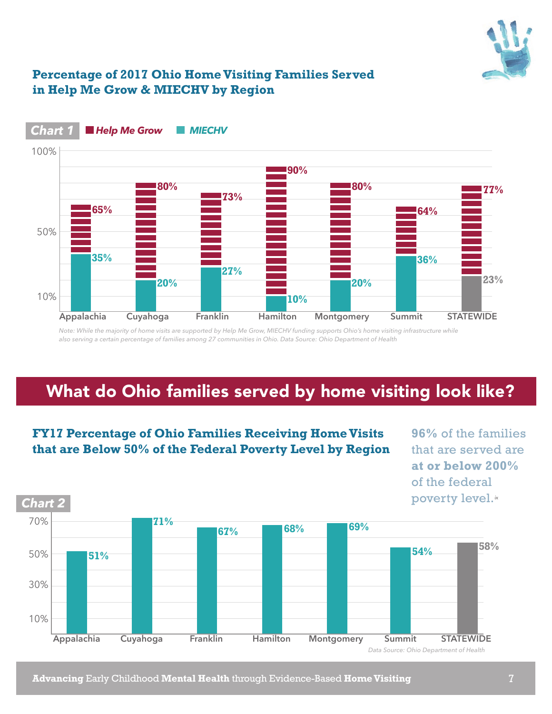

### **Percentage of 2017 Ohio Home Visiting Families Served in Help Me Grow & MIECHV by Region**



#### *Chart 1* **Help Me Grow MIECHV**

*Note: While the majority of home visits are supported by Help Me Grow, MIECHV funding supports Ohio's home visiting infrastructure while also serving a certain percentage of families among 27 communities in Ohio. Data Source: Ohio Department of Health*

# What do Ohio families served by home visiting look like?



**FY17 Percentage of Ohio Families Receiving Home Visits that are Below 50% of the Federal Poverty Level by Region**

**96%** of the families that are served are **at or below 200%**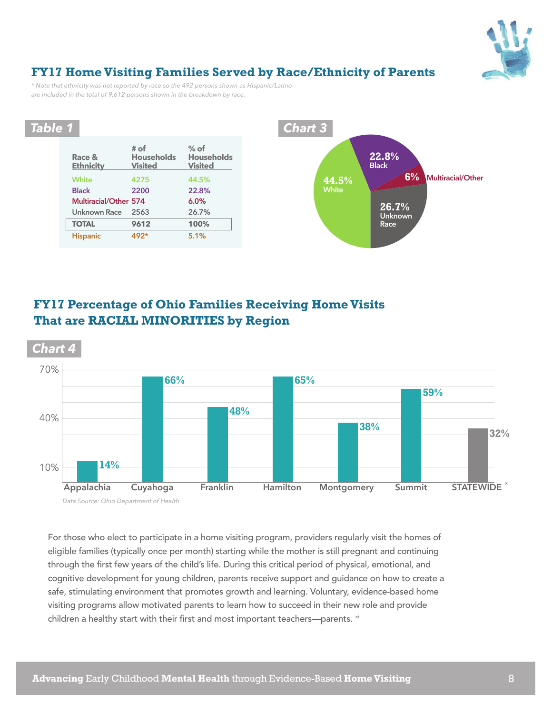

### **FY17 Home Visiting Families Served by Race/Ethnicity of Parents**

*\* Note that ethnicity was not reported by race so the 492 persons shown as Hispanic/Latino are included in the total of 9,612 persons shown in the breakdown by race.* 



### **FY17 Percentage of Ohio Families Receiving Home Visits That are RACIAL MINORITIES by Region**



For those who elect to participate in a home visiting program, providers regularly visit the homes of eligible families (typically once per month) starting while the mother is still pregnant and continuing through the first few years of the child's life. During this critical period of physical, emotional, and cognitive development for young children, parents receive support and guidance on how to create a safe, stimulating environment that promotes growth and learning. Voluntary, evidence-based home visiting programs allow motivated parents to learn how to succeed in their new role and provide children a healthy start with their first and most important teachers—parents. *xi*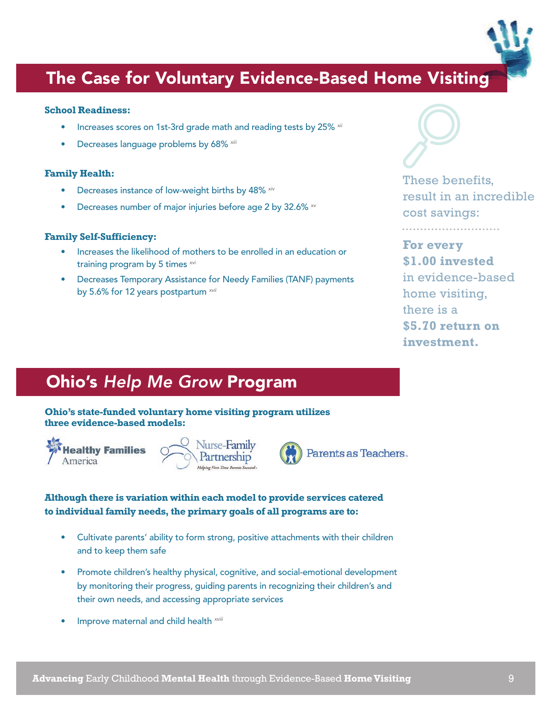# The Case for Voluntary Evidence-Based Home Visiting

### **School Readiness:**

- Increases scores on 1st-3rd grade math and reading tests by 25% *xii*
- Decreases language problems by 68% *xiii*

### **Family Health:**

- Decreases instance of low-weight births by 48% *xiv*
- Decreases number of major injuries before age 2 by 32.6% *xv*

### **Family Self-Sufficiency:**

- Increases the likelihood of mothers to be enrolled in an education or training program by 5 times *xvi*
- Decreases Temporary Assistance for Needy Families (TANF) payments by 5.6% for 12 years postpartum *xvii*



. . . . . . . . . . . . . . . . . .

These benefits, result in an incredible cost savings:

### **For every \$1.00 invested** in evidence-based home visiting, there is a **\$5.70 return on investment.**

# Ohio's *Help Me Grow* Program

**Ohio's state-funded voluntary home visiting program utilizes three evidence-based models:**







### **Although there is variation within each model to provide services catered to individual family needs, the primary goals of all programs are to:**

- Cultivate parents' ability to form strong, positive attachments with their children and to keep them safe
- Promote children's healthy physical, cognitive, and social-emotional development by monitoring their progress, guiding parents in recognizing their children's and their own needs, and accessing appropriate services
- Improve maternal and child health *xviii*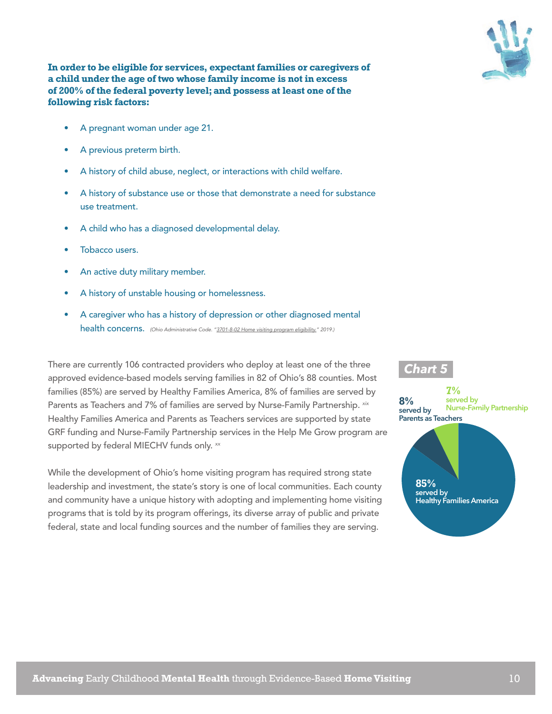



- A pregnant woman under age 21.
- A previous preterm birth.
- A history of child abuse, neglect, or interactions with child welfare.
- A history of substance use or those that demonstrate a need for substance use treatment.
- A child who has a diagnosed developmental delay.
- Tobacco users.
- An active duty military member.
- A history of unstable housing or homelessness.
- A caregiver who has a history of depression or other diagnosed mental health concerns. *(Ohio Administrative Code. ["3701-8-02 Home visiting program eligibility."](http://codes.ohio.gov/oac/3701-8-02v1) 2019.)*

There are currently 106 contracted providers who deploy at least one of the three approved evidence-based models serving families in 82 of Ohio's 88 counties. Most families (85%) are served by Healthy Families America, 8% of families are served by Parents as Teachers and 7% of families are served by Nurse-Family Partnership. *xix*  Healthy Families America and Parents as Teachers services are supported by state GRF funding and Nurse-Family Partnership services in the Help Me Grow program are supported by federal MIECHV funds only. *xx*

While the development of Ohio's home visiting program has required strong state leadership and investment, the state's story is one of local communities. Each county and community have a unique history with adopting and implementing home visiting programs that is told by its program offerings, its diverse array of public and private federal, state and local funding sources and the number of families they are serving.



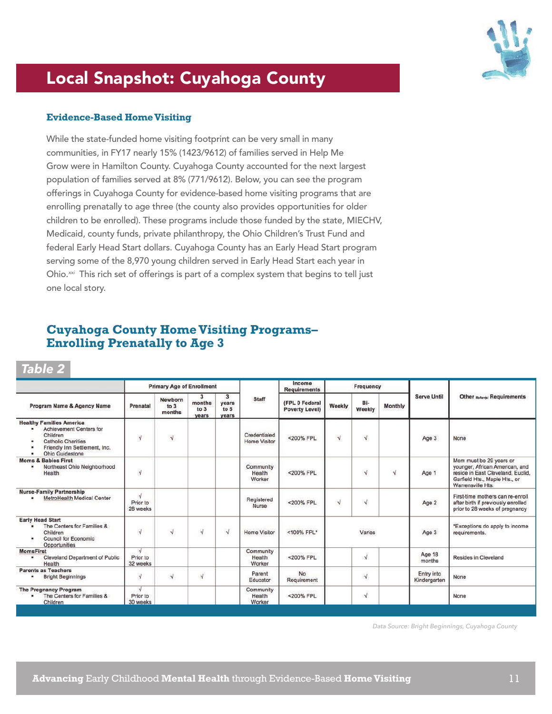

# Local Snapshot: Cuyahoga County

#### **Evidence-Based Home Visiting**

While the state-funded home visiting footprint can be very small in many communities, in FY17 nearly 15% (1423/9612) of families served in Help Me Grow were in Hamilton County. Cuyahoga County accounted for the next largest population of families served at 8% (771/9612). Below, you can see the program offerings in Cuyahoga County for evidence-based home visiting programs that are enrolling prenatally to age three (the county also provides opportunities for older children to be enrolled). These programs include those funded by the state, MIECHV, Medicaid, county funds, private philanthropy, the Ohio Children's Trust Fund and federal Early Head Start dollars. Cuyahoga County has an Early Head Start program serving some of the 8,970 young children served in Early Head Start each year in Ohio.*xxi* This rich set of offerings is part of a complex system that begins to tell just one local story.

### **Cuyahoga County Home Visiting Programs– Enrolling Prenatally to Age 3**

*Table 2*

|                                                                                                                                                              | <b>Primary Age of Enrollment</b>   |                           |                              | Income<br><b>Requirements</b>          | Frequency                           |                                         |           |               |           |                            |                                                                                                                                                      |
|--------------------------------------------------------------------------------------------------------------------------------------------------------------|------------------------------------|---------------------------|------------------------------|----------------------------------------|-------------------------------------|-----------------------------------------|-----------|---------------|-----------|----------------------------|------------------------------------------------------------------------------------------------------------------------------------------------------|
| Program Name & Agency Name                                                                                                                                   | Prenatal                           | Newborn<br>to 3<br>months | з<br>months<br>to 3<br>years | $\mathbf{3}$<br>vears<br>to 5<br>years | Staff                               | (FPL 0 Federal<br><b>Poverty Level)</b> | Weekly    | Bi-<br>Weekly | Monthly   | <b>Serve Until</b>         | <b>Other Referrist Requirements</b>                                                                                                                  |
| <b>Healthy Families America</b><br>Achievement Centers for<br>٠<br>Children<br><b>Catholic Charities</b><br>Friendly Inn Settlement, Inc.<br>Ohio Guidestone | $\sqrt{ }$                         | √                         |                              |                                        | Credentialed<br><b>Home Visitor</b> | <200% FPL                               | $\sqrt{}$ | $\sqrt{}$     |           | Age 3                      | None                                                                                                                                                 |
| <b>Moms &amp; Babies First</b><br>Northeast Ohio Neighborhood<br>Health                                                                                      | $\sqrt{ }$                         |                           |                              |                                        | Community<br>Health<br>Worker       | <200% FPL                               |           | $\sqrt{ }$    | $\sqrt{}$ | Age 1                      | Mom must be 29 years or<br>younger, African American, and<br>reside in East Cleveland, Euclid,<br>Garfield Hts., Maple Hts., or<br>Warrensville Hts. |
| <b>Nurse-Family Partnership</b><br>MetroHealth Medical Center                                                                                                | $\sqrt{ }$<br>Prior to<br>28 weeks |                           |                              |                                        | Registered<br>Nurse                 | <200% FPL                               | $\sqrt{}$ | N.            |           | Age 2                      | First-time mothers can re-enroll<br>after birth if previously enrolled<br>prior to 28 weeks of pregnancy                                             |
| <b>Early Head Start</b><br>The Centers for Families &<br>٠<br>Children<br><b>Council for Economic</b><br>٠<br>Opportunities                                  | $\sqrt{ }$                         | $\sqrt{}$                 | $\sqrt{ }$                   | $\sqrt{}$                              | <b>Home Visitor</b>                 | <100% FPL*                              |           | Varies        |           | Age 3                      | *Exceptions do apply to income<br>requirements.                                                                                                      |
| <b>MomsFirst</b><br><b>Cleveland Department of Public</b><br>٠<br>Health                                                                                     | V<br>Prior to<br>32 weeks          |                           |                              |                                        | Community<br>Health<br>Worker       | <200% FPL                               |           | $\sqrt{ }$    |           | Age 18<br>months           | <b>Resides in Cleveland</b>                                                                                                                          |
| <b>Parents as Teachers</b><br><b>Bright Beginnings</b>                                                                                                       | $\sqrt{ }$                         | $\sqrt{}$                 | $\overline{\mathbf{N}}$      |                                        | Parent<br>Educator                  | No<br>Requirement                       |           | $\sqrt{}$     |           | Entry into<br>Kindergarten | None                                                                                                                                                 |
| <b>The Pregnancy Program</b><br>The Centers for Families &<br>۰<br>Children                                                                                  | V<br>Prior to<br>30 weeks          |                           |                              |                                        | Community<br>Health<br>Worker       | <200% FPL                               |           | $\sqrt{ }$    |           |                            | None                                                                                                                                                 |

*Data Source: Bright Beginnings, Cuyahoga County*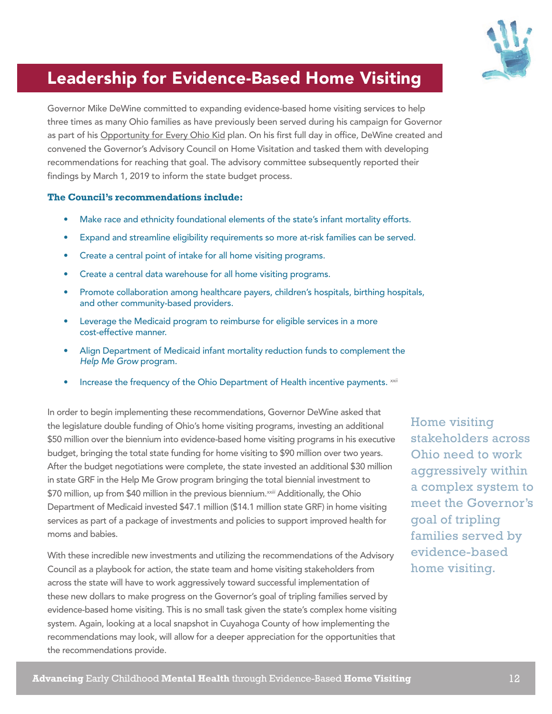

# Leadership for Evidence-Based Home Visiting

Governor Mike DeWine committed to expanding evidence-based home visiting services to help three times as many Ohio families as have previously been served during his campaign for Governor as part of his [Opportunity for Every Ohio Kid](https://www.mikedewine.com/kids/) plan. On his first full day in office, DeWine created and convened the Governor's Advisory Council on Home Visitation and tasked them with developing recommendations for reaching that goal. The advisory committee subsequently reported their findings by March 1, 2019 to inform the state budget process.

#### **The Council's recommendations include:**

- Make race and ethnicity foundational elements of the state's infant mortality efforts.
- Expand and streamline eligibility requirements so more at-risk families can be served.
- Create a central point of intake for all home visiting programs.
- Create a central data warehouse for all home visiting programs.
- Promote collaboration among healthcare payers, children's hospitals, birthing hospitals, and other community-based providers.
- Leverage the Medicaid program to reimburse for eligible services in a more cost-effective manner.
- Align Department of Medicaid infant mortality reduction funds to complement the *Help Me Grow* program.
- Increase the frequency of the Ohio Department of Health incentive payments. *xxii*

In order to begin implementing these recommendations, Governor DeWine asked that the legislature double funding of Ohio's home visiting programs, investing an additional \$50 million over the biennium into evidence-based home visiting programs in his executive budget, bringing the total state funding for home visiting to \$90 million over two years. After the budget negotiations were complete, the state invested an additional \$30 million in state GRF in the Help Me Grow program bringing the total biennial investment to \$70 million, up from \$40 million in the previous biennium.<sup>xxiii</sup> Additionally, the Ohio Department of Medicaid invested \$47.1 million (\$14.1 million state GRF) in home visiting services as part of a package of investments and policies to support improved health for moms and babies.

With these incredible new investments and utilizing the recommendations of the Advisory Council as a playbook for action, the state team and home visiting stakeholders from across the state will have to work aggressively toward successful implementation of these new dollars to make progress on the Governor's goal of tripling families served by evidence-based home visiting. This is no small task given the state's complex home visiting system. Again, looking at a local snapshot in Cuyahoga County of how implementing the recommendations may look, will allow for a deeper appreciation for the opportunities that the recommendations provide.

Home visiting stakeholders across Ohio need to work aggressively within a complex system to meet the Governor's goal of tripling families served by evidence-based home visiting.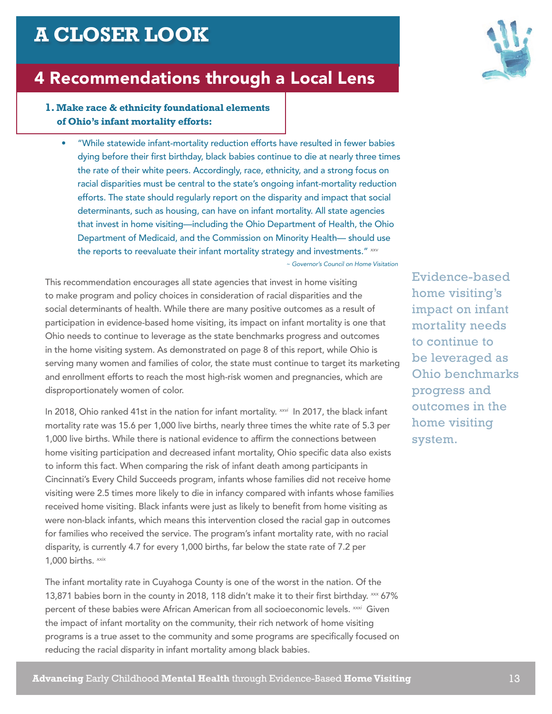# **A CLOSER LOOK**

## 4 Recommendations through a Local Lens

### **1. Make race & ethnicity foundational elements of Ohio's infant mortality efforts:**

• "While statewide infant-mortality reduction efforts have resulted in fewer babies dying before their first birthday, black babies continue to die at nearly three times the rate of their white peers. Accordingly, race, ethnicity, and a strong focus on racial disparities must be central to the state's ongoing infant-mortality reduction efforts. The state should regularly report on the disparity and impact that social determinants, such as housing, can have on infant mortality. All state agencies that invest in home visiting—including the Ohio Department of Health, the Ohio Department of Medicaid, and the Commission on Minority Health— should use the reports to reevaluate their infant mortality strategy and investments." *xxv ~ Governor's Council on Home Visitation*

This recommendation encourages all state agencies that invest in home visiting to make program and policy choices in consideration of racial disparities and the social determinants of health. While there are many positive outcomes as a result of participation in evidence-based home visiting, its impact on infant mortality is one that Ohio needs to continue to leverage as the state benchmarks progress and outcomes in the home visiting system. As demonstrated on page 8 of this report, while Ohio is serving many women and families of color, the state must continue to target its marketing and enrollment efforts to reach the most high-risk women and pregnancies, which are disproportionately women of color.

In 2018, Ohio ranked 41st in the nation for infant mortality. *xxvi* In 2017, the black infant mortality rate was 15.6 per 1,000 live births, nearly three times the white rate of 5.3 per 1,000 live births. While there is national evidence to affirm the connections between home visiting participation and decreased infant mortality, Ohio specific data also exists to inform this fact. When comparing the risk of infant death among participants in Cincinnati's Every Child Succeeds program, infants whose families did not receive home visiting were 2.5 times more likely to die in infancy compared with infants whose families received home visiting. Black infants were just as likely to benefit from home visiting as were non-black infants, which means this intervention closed the racial gap in outcomes for families who received the service. The program's infant mortality rate, with no racial disparity, is currently 4.7 for every 1,000 births, far below the state rate of 7.2 per 1,000 births. *xxix*

The infant mortality rate in Cuyahoga County is one of the worst in the nation. Of the 13,871 babies born in the county in 2018, 118 didn't make it to their first birthday. *xxx* 67% percent of these babies were African American from all socioeconomic levels. *xxxi* Given the impact of infant mortality on the community, their rich network of home visiting programs is a true asset to the community and some programs are specifically focused on reducing the racial disparity in infant mortality among black babies.



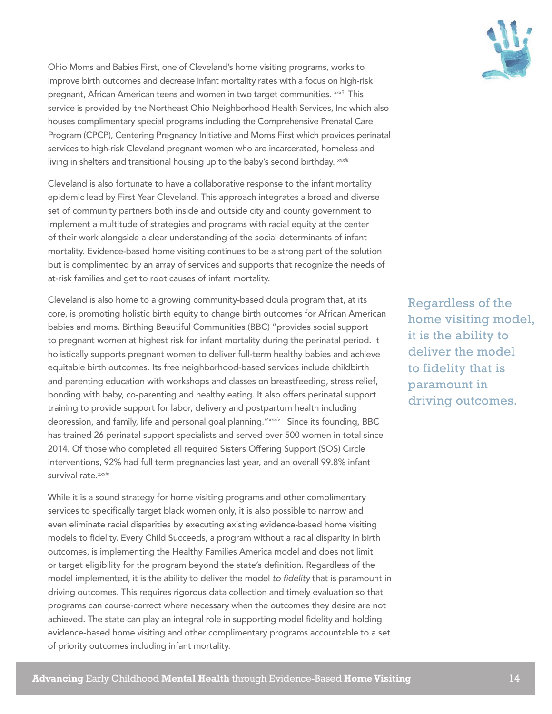

Ohio Moms and Babies First, one of Cleveland's home visiting programs, works to improve birth outcomes and decrease infant mortality rates with a focus on high-risk pregnant, African American teens and women in two target communities. *xxxii* This service is provided by the Northeast Ohio Neighborhood Health Services, Inc which also houses complimentary special programs including the Comprehensive Prenatal Care Program (CPCP), Centering Pregnancy Initiative and Moms First which provides perinatal services to high-risk Cleveland pregnant women who are incarcerated, homeless and living in shelters and transitional housing up to the baby's second birthday. *xxxiii*

Cleveland is also fortunate to have a collaborative response to the infant mortality epidemic lead by First Year Cleveland. This approach integrates a broad and diverse set of community partners both inside and outside city and county government to implement a multitude of strategies and programs with racial equity at the center of their work alongside a clear understanding of the social determinants of infant mortality. Evidence-based home visiting continues to be a strong part of the solution but is complimented by an array of services and supports that recognize the needs of at-risk families and get to root causes of infant mortality.

Cleveland is also home to a growing community-based doula program that, at its core, is promoting holistic birth equity to change birth outcomes for African American babies and moms. Birthing Beautiful Communities (BBC) "provides social support to pregnant women at highest risk for infant mortality during the perinatal period. It holistically supports pregnant women to deliver full-term healthy babies and achieve equitable birth outcomes. Its free neighborhood-based services include childbirth and parenting education with workshops and classes on breastfeeding, stress relief, bonding with baby, co-parenting and healthy eating. It also offers perinatal support training to provide support for labor, delivery and postpartum health including depression, and family, life and personal goal planning."*xxxiv* Since its founding, BBC has trained 26 perinatal support specialists and served over 500 women in total since 2014. Of those who completed all required Sisters Offering Support (SOS) Circle interventions, 92% had full term pregnancies last year, and an overall 99.8% infant survival rate.<sup>*xxxiv*</sup>

While it is a sound strategy for home visiting programs and other complimentary services to specifically target black women only, it is also possible to narrow and even eliminate racial disparities by executing existing evidence-based home visiting models to fidelity. Every Child Succeeds, a program without a racial disparity in birth outcomes, is implementing the Healthy Families America model and does not limit or target eligibility for the program beyond the state's definition. Regardless of the model implemented, it is the ability to deliver the model *to fidelity* that is paramount in driving outcomes. This requires rigorous data collection and timely evaluation so that programs can course-correct where necessary when the outcomes they desire are not achieved. The state can play an integral role in supporting model fidelity and holding evidence-based home visiting and other complimentary programs accountable to a set of priority outcomes including infant mortality.

Regardless of the home visiting model, it is the ability to deliver the model to fidelity that is paramount in driving outcomes.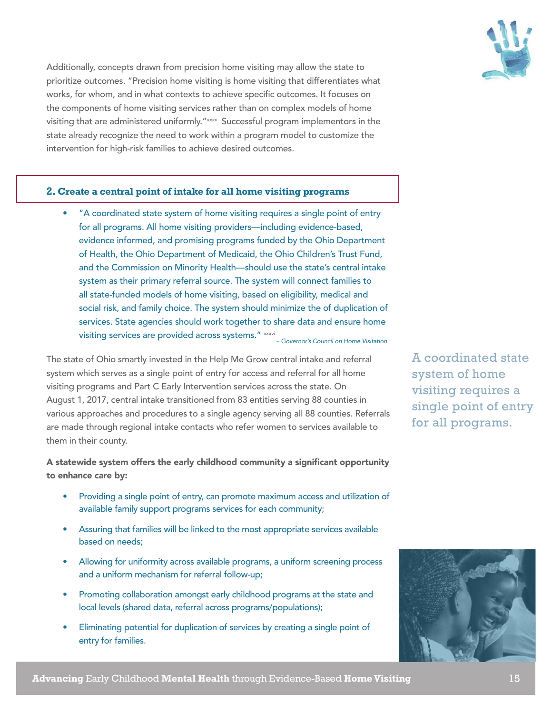

Additionally, concepts drawn from precision home visiting may allow the state to prioritize outcomes. "Precision home visiting is home visiting that differentiates what works, for whom, and in what contexts to achieve specific outcomes. It focuses on the components of home visiting services rather than on complex models of home visiting that are administered uniformly."*xxxv* Successful program implementors in the state already recognize the need to work within a program model to customize the intervention for high-risk families to achieve desired outcomes.

#### **2. Create a central point of intake for all home visiting programs**

• "A coordinated state system of home visiting requires a single point of entry for all programs. All home visiting providers—including evidence-based, evidence informed, and promising programs funded by the Ohio Department of Health, the Ohio Department of Medicaid, the Ohio Children's Trust Fund, and the Commission on Minority Health—should use the state's central intake system as their primary referral source. The system will connect families to all state-funded models of home visiting, based on eligibility, medical and social risk, and family choice. The system should minimize the of duplication of services. State agencies should work together to share data and ensure home visiting services are provided across systems." *xxxvi ~ Governor's Council on Home Visitation*

The state of Ohio smartly invested in the Help Me Grow central intake and referral system which serves as a single point of entry for access and referral for all home visiting programs and Part C Early Intervention services across the state. On August 1, 2017, central intake transitioned from 83 entities serving 88 counties in various approaches and procedures to a single agency serving all 88 counties. Referrals are made through regional intake contacts who refer women to services available to them in their county.

A statewide system offers the early childhood community a significant opportunity to enhance care by:

- Providing a single point of entry, can promote maximum access and utilization of available family support programs services for each community;
- Assuring that families will be linked to the most appropriate services available based on needs;
- Allowing for uniformity across available programs, a uniform screening process and a uniform mechanism for referral follow-up;
- Promoting collaboration amongst early childhood programs at the state and local levels (shared data, referral across programs/populations);
- Eliminating potential for duplication of services by creating a single point of entry for families.

A coordinated state system of home visiting requires a single point of entry for all programs.

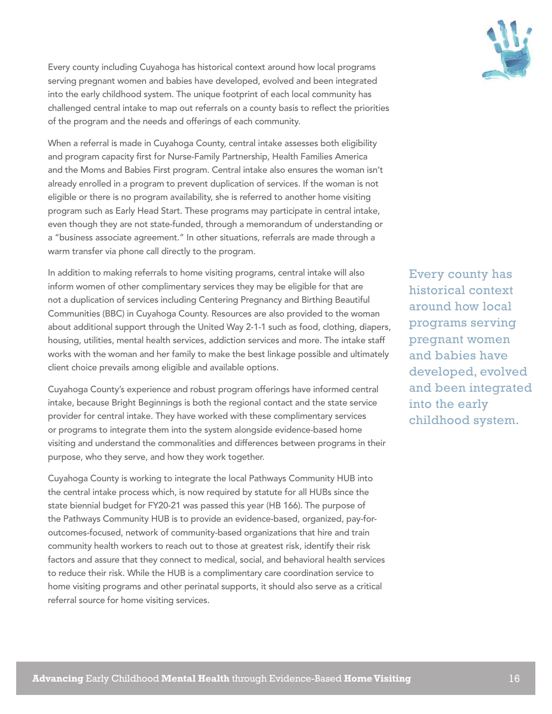

Every county including Cuyahoga has historical context around how local programs serving pregnant women and babies have developed, evolved and been integrated into the early childhood system. The unique footprint of each local community has challenged central intake to map out referrals on a county basis to reflect the priorities of the program and the needs and offerings of each community.

When a referral is made in Cuyahoga County, central intake assesses both eligibility and program capacity first for Nurse-Family Partnership, Health Families America and the Moms and Babies First program. Central intake also ensures the woman isn't already enrolled in a program to prevent duplication of services. If the woman is not eligible or there is no program availability, she is referred to another home visiting program such as Early Head Start. These programs may participate in central intake, even though they are not state-funded, through a memorandum of understanding or a "business associate agreement." In other situations, referrals are made through a warm transfer via phone call directly to the program.

In addition to making referrals to home visiting programs, central intake will also inform women of other complimentary services they may be eligible for that are not a duplication of services including Centering Pregnancy and Birthing Beautiful Communities (BBC) in Cuyahoga County. Resources are also provided to the woman about additional support through the United Way 2-1-1 such as food, clothing, diapers, housing, utilities, mental health services, addiction services and more. The intake staff works with the woman and her family to make the best linkage possible and ultimately client choice prevails among eligible and available options.

Cuyahoga County's experience and robust program offerings have informed central intake, because Bright Beginnings is both the regional contact and the state service provider for central intake. They have worked with these complimentary services or programs to integrate them into the system alongside evidence-based home visiting and understand the commonalities and differences between programs in their purpose, who they serve, and how they work together.

Cuyahoga County is working to integrate the local Pathways Community HUB into the central intake process which, is now required by statute for all HUBs since the state biennial budget for FY20-21 was passed this year (HB 166). The purpose of the Pathways Community HUB is to provide an evidence-based, organized, pay-foroutcomes-focused, network of community-based organizations that hire and train community health workers to reach out to those at greatest risk, identify their risk factors and assure that they connect to medical, social, and behavioral health services to reduce their risk. While the HUB is a complimentary care coordination service to home visiting programs and other perinatal supports, it should also serve as a critical referral source for home visiting services.

Every county has historical context around how local programs serving pregnant women and babies have developed, evolved and been integrated into the early childhood system.

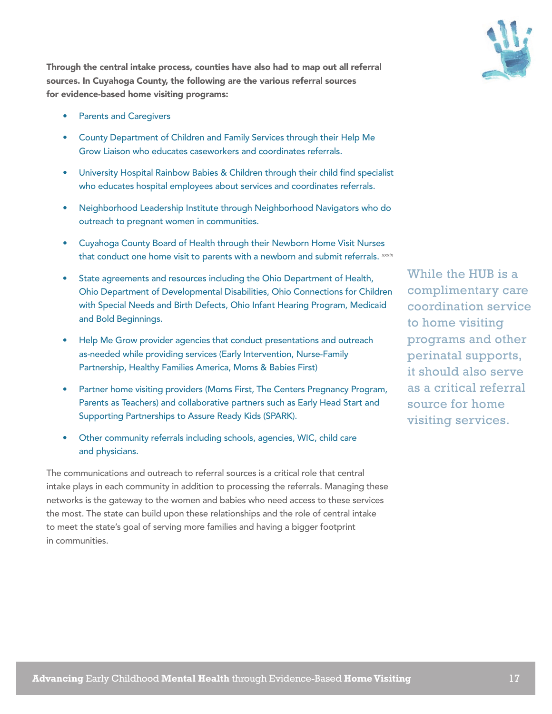Through the central intake process, counties have also had to map out all referral sources. In Cuyahoga County, the following are the various referral sources for evidence-based home visiting programs:

- Parents and Caregivers
- County Department of Children and Family Services through their Help Me Grow Liaison who educates caseworkers and coordinates referrals.
- University Hospital Rainbow Babies & Children through their child find specialist who educates hospital employees about services and coordinates referrals.
- Neighborhood Leadership Institute through Neighborhood Navigators who do outreach to pregnant women in communities.
- Cuyahoga County Board of Health through their Newborn Home Visit Nurses that conduct one home visit to parents with a newborn and submit referrals. *xxxix*
- State agreements and resources including the Ohio Department of Health, Ohio Department of Developmental Disabilities, Ohio Connections for Children with Special Needs and Birth Defects, Ohio Infant Hearing Program, Medicaid and Bold Beginnings.
- Help Me Grow provider agencies that conduct presentations and outreach as-needed while providing services (Early Intervention, Nurse-Family Partnership, Healthy Families America, Moms & Babies First)
- Partner home visiting providers (Moms First, The Centers Pregnancy Program, Parents as Teachers) and collaborative partners such as Early Head Start and Supporting Partnerships to Assure Ready Kids (SPARK).
- Other community referrals including schools, agencies, WIC, child care and physicians.

The communications and outreach to referral sources is a critical role that central intake plays in each community in addition to processing the referrals. Managing these networks is the gateway to the women and babies who need access to these services the most. The state can build upon these relationships and the role of central intake to meet the state's goal of serving more families and having a bigger footprint in communities.

While the HUB is a complimentary care coordination service to home visiting programs and other perinatal supports, it should also serve as a critical referral source for home visiting services.

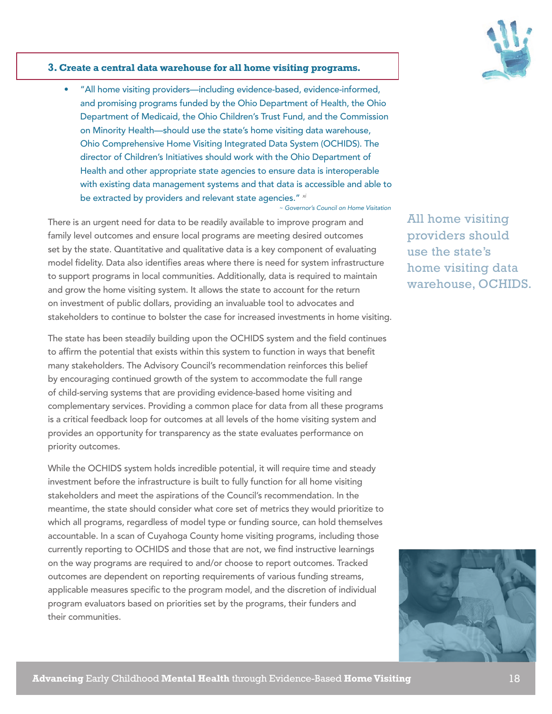

#### **3. Create a central data warehouse for all home visiting programs.**

• "All home visiting providers—including evidence-based, evidence-informed, and promising programs funded by the Ohio Department of Health, the Ohio Department of Medicaid, the Ohio Children's Trust Fund, and the Commission on Minority Health—should use the state's home visiting data warehouse, Ohio Comprehensive Home Visiting Integrated Data System (OCHIDS). The director of Children's Initiatives should work with the Ohio Department of Health and other appropriate state agencies to ensure data is interoperable with existing data management systems and that data is accessible and able to be extracted by providers and relevant state agencies." *xi*

*~ Governor's Council on Home Visitation*

There is an urgent need for data to be readily available to improve program and family level outcomes and ensure local programs are meeting desired outcomes set by the state. Quantitative and qualitative data is a key component of evaluating model fidelity. Data also identifies areas where there is need for system infrastructure to support programs in local communities. Additionally, data is required to maintain and grow the home visiting system. It allows the state to account for the return on investment of public dollars, providing an invaluable tool to advocates and stakeholders to continue to bolster the case for increased investments in home visiting.

The state has been steadily building upon the OCHIDS system and the field continues to affirm the potential that exists within this system to function in ways that benefit many stakeholders. The Advisory Council's recommendation reinforces this belief by encouraging continued growth of the system to accommodate the full range of child-serving systems that are providing evidence-based home visiting and complementary services. Providing a common place for data from all these programs is a critical feedback loop for outcomes at all levels of the home visiting system and provides an opportunity for transparency as the state evaluates performance on priority outcomes.

While the OCHIDS system holds incredible potential, it will require time and steady investment before the infrastructure is built to fully function for all home visiting stakeholders and meet the aspirations of the Council's recommendation. In the meantime, the state should consider what core set of metrics they would prioritize to which all programs, regardless of model type or funding source, can hold themselves accountable. In a scan of Cuyahoga County home visiting programs, including those currently reporting to OCHIDS and those that are not, we find instructive learnings on the way programs are required to and/or choose to report outcomes. Tracked outcomes are dependent on reporting requirements of various funding streams, applicable measures specific to the program model, and the discretion of individual program evaluators based on priorities set by the programs, their funders and their communities.

All home visiting providers should use the state's home visiting data warehouse, OCHIDS.

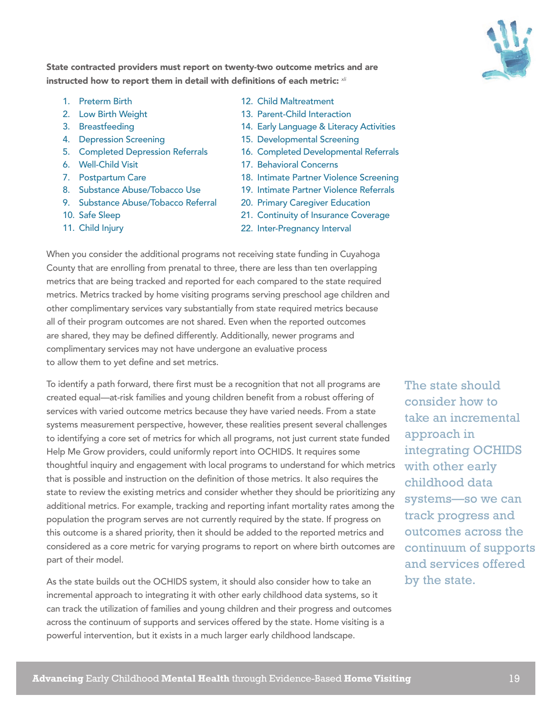

State contracted providers must report on twenty-two outcome metrics and are instructed how to report them in detail with definitions of each metric: *xli*

- 1. Preterm Birth
- 2. Low Birth Weight
- 3. Breastfeeding
- 4. Depression Screening
- 5. Completed Depression Referrals
- 6. Well-Child Visit
- 7. Postpartum Care
- 8. Substance Abuse/Tobacco Use
- 9. Substance Abuse/Tobacco Referral
- 10. Safe Sleep
- 11. Child Injury
- 12. Child Maltreatment
- 13. Parent-Child Interaction
- 14. Early Language & Literacy Activities
- 15. Developmental Screening
- 16. Completed Developmental Referrals
- 17. Behavioral Concerns
- 18. Intimate Partner Violence Screening
- 19. Intimate Partner Violence Referrals
- 20. Primary Caregiver Education
- 21. Continuity of Insurance Coverage
- 22. Inter-Pregnancy Interval

When you consider the additional programs not receiving state funding in Cuyahoga County that are enrolling from prenatal to three, there are less than ten overlapping metrics that are being tracked and reported for each compared to the state required metrics. Metrics tracked by home visiting programs serving preschool age children and other complimentary services vary substantially from state required metrics because all of their program outcomes are not shared. Even when the reported outcomes are shared, they may be defined differently. Additionally, newer programs and complimentary services may not have undergone an evaluative process to allow them to yet define and set metrics.

To identify a path forward, there first must be a recognition that not all programs are created equal—at-risk families and young children benefit from a robust offering of services with varied outcome metrics because they have varied needs. From a state systems measurement perspective, however, these realities present several challenges to identifying a core set of metrics for which all programs, not just current state funded Help Me Grow providers, could uniformly report into OCHIDS. It requires some thoughtful inquiry and engagement with local programs to understand for which metrics that is possible and instruction on the definition of those metrics. It also requires the state to review the existing metrics and consider whether they should be prioritizing any additional metrics. For example, tracking and reporting infant mortality rates among the population the program serves are not currently required by the state. If progress on this outcome is a shared priority, then it should be added to the reported metrics and considered as a core metric for varying programs to report on where birth outcomes are part of their model.

As the state builds out the OCHIDS system, it should also consider how to take an incremental approach to integrating it with other early childhood data systems, so it can track the utilization of families and young children and their progress and outcomes across the continuum of supports and services offered by the state. Home visiting is a powerful intervention, but it exists in a much larger early childhood landscape.

The state should consider how to take an incremental approach in integrating OCHIDS with other early childhood data systems—so we can track progress and outcomes across the continuum of supports and services offered by the state.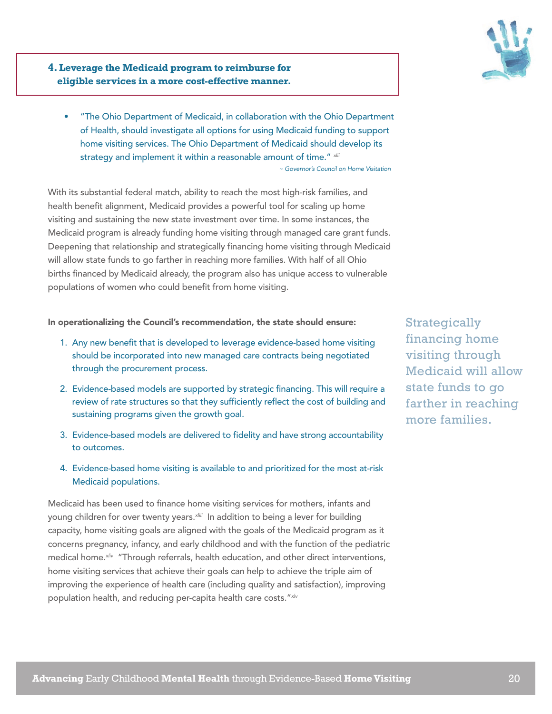

**4. Leverage the Medicaid program to reimburse for eligible services in a more cost-effective manner.** 

• "The Ohio Department of Medicaid, in collaboration with the Ohio Department of Health, should investigate all options for using Medicaid funding to support home visiting services. The Ohio Department of Medicaid should develop its strategy and implement it within a reasonable amount of time." *xlii ~ Governor's Council on Home Visitation*

With its substantial federal match, ability to reach the most high-risk families, and health benefit alignment, Medicaid provides a powerful tool for scaling up home visiting and sustaining the new state investment over time. In some instances, the Medicaid program is already funding home visiting through managed care grant funds. Deepening that relationship and strategically financing home visiting through Medicaid will allow state funds to go farther in reaching more families. With half of all Ohio births financed by Medicaid already, the program also has unique access to vulnerable populations of women who could benefit from home visiting.

In operationalizing the Council's recommendation, the state should ensure:

- 1. Any new benefit that is developed to leverage evidence-based home visiting should be incorporated into new managed care contracts being negotiated through the procurement process.
- 2. Evidence-based models are supported by strategic financing. This will require a review of rate structures so that they sufficiently reflect the cost of building and sustaining programs given the growth goal.
- 3. Evidence-based models are delivered to fidelity and have strong accountability to outcomes.
- 4. Evidence-based home visiting is available to and prioritized for the most at-risk Medicaid populations.

Medicaid has been used to finance home visiting services for mothers, infants and young children for over twenty years.*xliii* In addition to being a lever for building capacity, home visiting goals are aligned with the goals of the Medicaid program as it concerns pregnancy, infancy, and early childhood and with the function of the pediatric medical home.*xliv* "Through referrals, health education, and other direct interventions, home visiting services that achieve their goals can help to achieve the triple aim of improving the experience of health care (including quality and satisfaction), improving population health, and reducing per-capita health care costs."*xlv*

**Strategically** financing home visiting through Medicaid will allow state funds to go farther in reaching more families.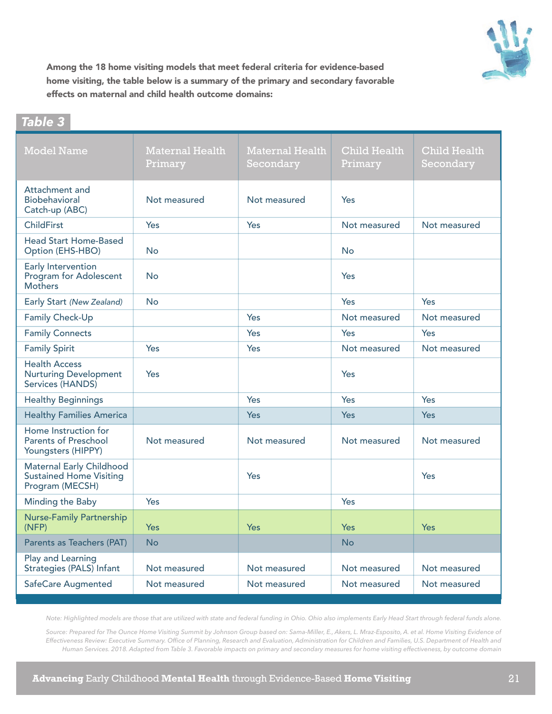

Among the 18 home visiting models that meet federal criteria for evidence-based home visiting, the table below is a summary of the primary and secondary favorable effects on maternal and child health outcome domains:

### *Table 3*

| <b>Model Name</b>                                                                    | <b>Maternal Health</b><br>Primary | <b>Maternal Health</b><br>Secondary | <b>Child Health</b><br>Primary | <b>Child Health</b><br>Secondary |
|--------------------------------------------------------------------------------------|-----------------------------------|-------------------------------------|--------------------------------|----------------------------------|
| Attachment and<br>Biobehavioral<br>Catch-up (ABC)                                    | Not measured                      | Not measured                        | Yes                            |                                  |
| <b>ChildFirst</b>                                                                    | Yes                               | Yes                                 | Not measured                   | Not measured                     |
| <b>Head Start Home-Based</b><br>Option (EHS-HBO)                                     | <b>No</b>                         |                                     | <b>No</b>                      |                                  |
| Early Intervention<br><b>Program for Adolescent</b><br><b>Mothers</b>                | <b>No</b>                         |                                     | Yes                            |                                  |
| Early Start (New Zealand)                                                            | <b>No</b>                         |                                     | Yes                            | Yes                              |
| Family Check-Up                                                                      |                                   | Yes                                 | Not measured                   | Not measured                     |
| <b>Family Connects</b>                                                               |                                   | Yes                                 | Yes                            | Yes                              |
| <b>Family Spirit</b>                                                                 | Yes                               | Yes                                 | Not measured                   | Not measured                     |
| <b>Health Access</b><br><b>Nurturing Development</b><br>Services (HANDS)             | Yes                               |                                     | Yes                            |                                  |
| <b>Healthy Beginnings</b>                                                            |                                   | Yes                                 | Yes                            | Yes                              |
| <b>Healthy Families America</b>                                                      |                                   | <b>Yes</b>                          | <b>Yes</b>                     | <b>Yes</b>                       |
| Home Instruction for<br><b>Parents of Preschool</b><br>Youngsters (HIPPY)            | Not measured                      | Not measured                        | Not measured                   | Not measured                     |
| <b>Maternal Early Childhood</b><br><b>Sustained Home Visiting</b><br>Program (MECSH) |                                   | Yes                                 |                                | Yes                              |
| Minding the Baby                                                                     | Yes                               |                                     | Yes                            |                                  |
| <b>Nurse-Family Partnership</b><br>(NFP)                                             | <b>Yes</b>                        | Yes                                 | Yes                            | <b>Yes</b>                       |
| Parents as Teachers (PAT)                                                            | <b>No</b>                         |                                     | <b>No</b>                      |                                  |
| Play and Learning<br>Strategies (PALS) Infant                                        | Not measured                      | Not measured                        | Not measured                   | Not measured                     |
| <b>SafeCare Augmented</b>                                                            | Not measured                      | Not measured                        | Not measured                   | Not measured                     |

*Note: Highlighted models are those that are utilized with state and federal funding in Ohio. Ohio also implements Early Head Start through federal funds alone.* 

*Source: Prepared for The Ounce Home Visiting Summit by Johnson Group based on: Sama-Miller, E., Akers, L. Mraz-Esposito, A. et al. Home Visiting Evidence of Effectiveness Review: Executive Summary. Office of Planning, Research and Evaluation, Administration for Children and Families, U.S. Department of Health and Human Services. 2018. Adapted from Table 3. Favorable impacts on primary and secondary measures for home visiting effectiveness, by outcome domain*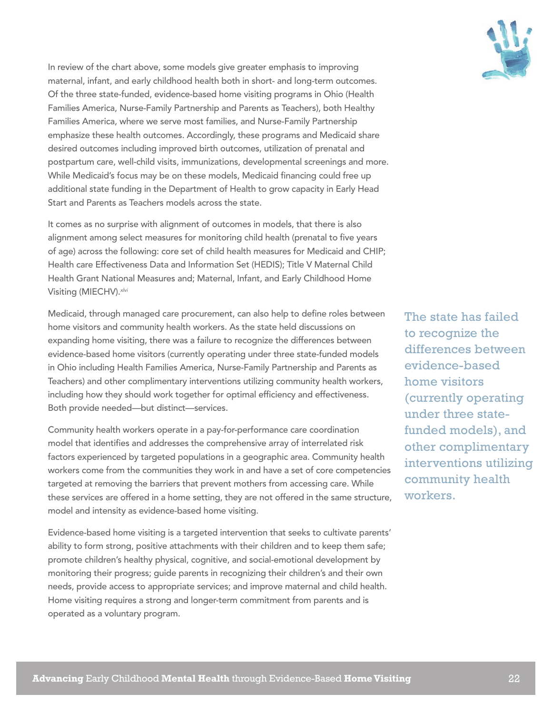

In review of the chart above, some models give greater emphasis to improving maternal, infant, and early childhood health both in short- and long-term outcomes. Of the three state-funded, evidence-based home visiting programs in Ohio (Health Families America, Nurse-Family Partnership and Parents as Teachers), both Healthy Families America, where we serve most families, and Nurse-Family Partnership emphasize these health outcomes. Accordingly, these programs and Medicaid share desired outcomes including improved birth outcomes, utilization of prenatal and postpartum care, well-child visits, immunizations, developmental screenings and more. While Medicaid's focus may be on these models, Medicaid financing could free up additional state funding in the Department of Health to grow capacity in Early Head Start and Parents as Teachers models across the state.

It comes as no surprise with alignment of outcomes in models, that there is also alignment among select measures for monitoring child health (prenatal to five years of age) across the following: core set of child health measures for Medicaid and CHIP; Health care Effectiveness Data and Information Set (HEDIS); Title V Maternal Child Health Grant National Measures and; Maternal, Infant, and Early Childhood Home Visiting (MIECHV).*xlvi*

Medicaid, through managed care procurement, can also help to define roles between home visitors and community health workers. As the state held discussions on expanding home visiting, there was a failure to recognize the differences between evidence-based home visitors (currently operating under three state-funded models in Ohio including Health Families America, Nurse-Family Partnership and Parents as Teachers) and other complimentary interventions utilizing community health workers, including how they should work together for optimal efficiency and effectiveness. Both provide needed—but distinct—services.

Community health workers operate in a pay-for-performance care coordination model that identifies and addresses the comprehensive array of interrelated risk factors experienced by targeted populations in a geographic area. Community health workers come from the communities they work in and have a set of core competencies targeted at removing the barriers that prevent mothers from accessing care. While these services are offered in a home setting, they are not offered in the same structure, model and intensity as evidence-based home visiting.

Evidence-based home visiting is a targeted intervention that seeks to cultivate parents' ability to form strong, positive attachments with their children and to keep them safe; promote children's healthy physical, cognitive, and social-emotional development by monitoring their progress; guide parents in recognizing their children's and their own needs, provide access to appropriate services; and improve maternal and child health. Home visiting requires a strong and longer-term commitment from parents and is operated as a voluntary program.

The state has failed to recognize the differences between evidence-based home visitors (currently operating under three statefunded models), and other complimentary interventions utilizing community health workers.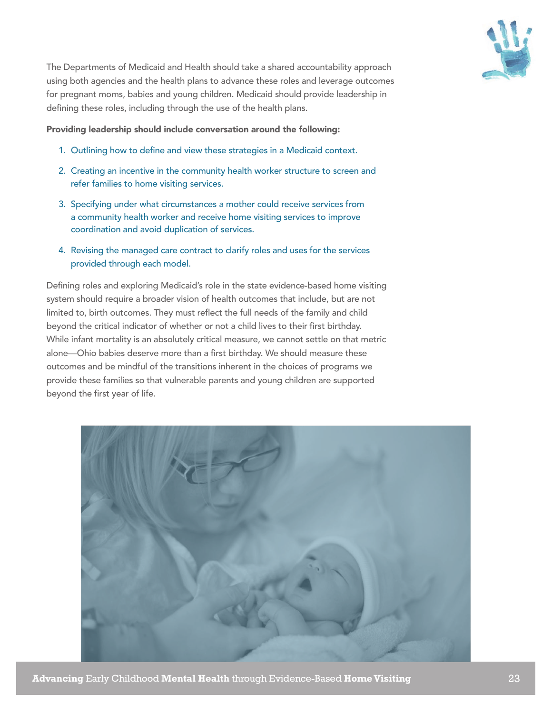

The Departments of Medicaid and Health should take a shared accountability approach using both agencies and the health plans to advance these roles and leverage outcomes for pregnant moms, babies and young children. Medicaid should provide leadership in defining these roles, including through the use of the health plans.

Providing leadership should include conversation around the following:

- 1. Outlining how to define and view these strategies in a Medicaid context.
- 2. Creating an incentive in the community health worker structure to screen and refer families to home visiting services.
- 3. Specifying under what circumstances a mother could receive services from a community health worker and receive home visiting services to improve coordination and avoid duplication of services.
- 4. Revising the managed care contract to clarify roles and uses for the services provided through each model.

Defining roles and exploring Medicaid's role in the state evidence-based home visiting system should require a broader vision of health outcomes that include, but are not limited to, birth outcomes. They must reflect the full needs of the family and child beyond the critical indicator of whether or not a child lives to their first birthday. While infant mortality is an absolutely critical measure, we cannot settle on that metric alone—Ohio babies deserve more than a first birthday. We should measure these outcomes and be mindful of the transitions inherent in the choices of programs we provide these families so that vulnerable parents and young children are supported beyond the first year of life.

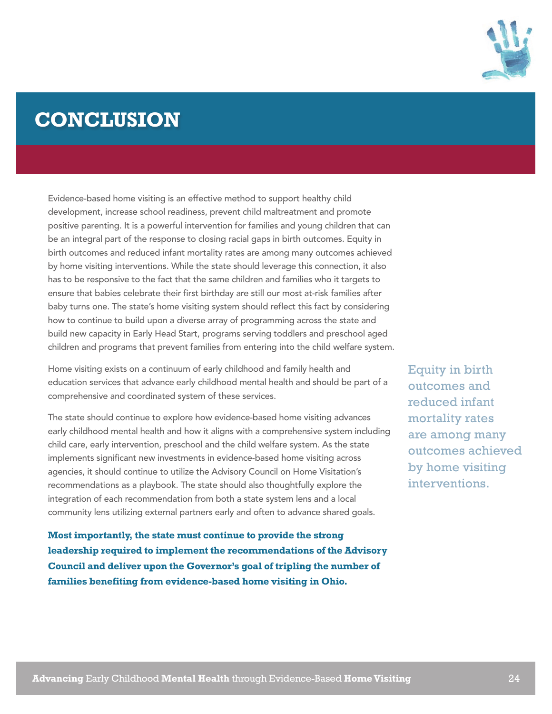

# **CONCLUSION**

Evidence-based home visiting is an effective method to support healthy child development, increase school readiness, prevent child maltreatment and promote positive parenting. It is a powerful intervention for families and young children that can be an integral part of the response to closing racial gaps in birth outcomes. Equity in birth outcomes and reduced infant mortality rates are among many outcomes achieved by home visiting interventions. While the state should leverage this connection, it also has to be responsive to the fact that the same children and families who it targets to ensure that babies celebrate their first birthday are still our most at-risk families after baby turns one. The state's home visiting system should reflect this fact by considering how to continue to build upon a diverse array of programming across the state and build new capacity in Early Head Start, programs serving toddlers and preschool aged children and programs that prevent families from entering into the child welfare system.

Home visiting exists on a continuum of early childhood and family health and education services that advance early childhood mental health and should be part of a comprehensive and coordinated system of these services.

The state should continue to explore how evidence-based home visiting advances early childhood mental health and how it aligns with a comprehensive system including child care, early intervention, preschool and the child welfare system. As the state implements significant new investments in evidence-based home visiting across agencies, it should continue to utilize the Advisory Council on Home Visitation's recommendations as a playbook. The state should also thoughtfully explore the integration of each recommendation from both a state system lens and a local community lens utilizing external partners early and often to advance shared goals.

**Most importantly, the state must continue to provide the strong leadership required to implement the recommendations of the Advisory Council and deliver upon the Governor's goal of tripling the number of families benefiting from evidence-based home visiting in Ohio.**

Equity in birth outcomes and reduced infant mortality rates are among many outcomes achieved by home visiting interventions.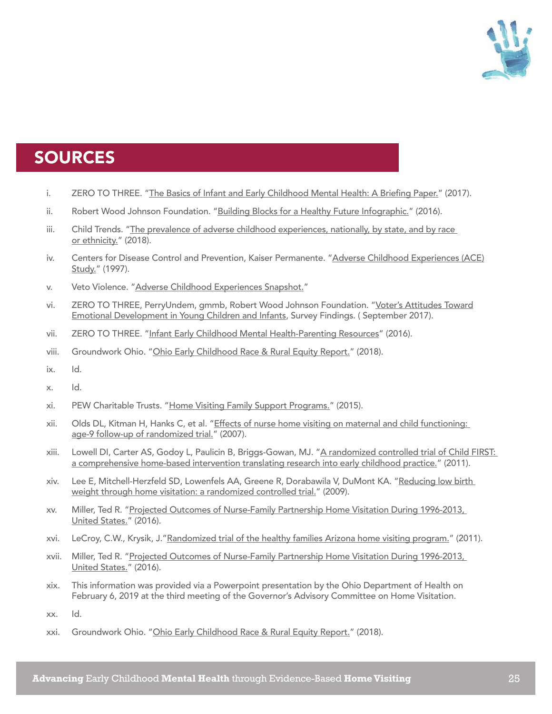

# SOURCES

- i. ZERO TO THREE. ["The Basics of Infant and Early Childhood Mental Health: A Briefing Paper.](https://www.zerotothree.org/resources/1951-the-basics-of-infant-and-early-childhood-mental-health-a-briefing-paper)" (2017).
- ii. Robert Wood Johnson Foundation. ["Building Blocks for a Healthy Future Infographic."](https://www.rwjf.org/en/library/infographics/building-blocks-for-a-healthy-future.html) (2016).
- iii. Child Trends. "The prevalence of adverse childhood experiences, nationally, by state, and by race [or ethnicity."](https://www.childtrends.org/publications/prevalence-adverse-childhood-experiences-nationally-state-race-ethnicity) (2018).
- iv. Centers for Disease Control and Prevention, Kaiser Permanente. "Adverse Childhood Experiences (ACE) [Study."](https://www.cdc.gov/violenceprevention/childabuseandneglect/acestudy/about.html) (1997).
- v. Veto Violence. ["Adverse Childhood Experiences Snapshot."](https://vetoviolence.cdc.gov/apps/aces/)
- vi. ZERO TO THREE, PerryUndem, gmmb, Robert Wood Johnson Foundation. "Voter's Attitudes Toward [Emotional Development in Young Children and Infants](https://earlychildhood.marylandpublicschools.org/system/files/filedepot/4/emotional_development_in_infants_young_children.pdf), Survey Findings. ( September 2017).
- vii. ZERO TO THREE. ["Infant Early Childhood Mental Health-Parenting Resources](https://www.zerotothree.org/resources/110-infant-early-childhood-mental-health)" (2016).
- viii. Groundwork Ohio. "[Ohio Early Childhood Race & Rural Equity Report.](https://www.groundworkohio.org/equityreport)" (2018).
- ix. Id.
- x. Id.
- xi. PEW Charitable Trusts. ["Home Visiting Family Support Programs."](https://www.pewtrusts.org/en/research-and-analysis/fact-sheets/2014/02/03/home-visiting-family-support-programs) (2015).
- xii. Olds DL, Kitman H, Hanks C, et al. "Effects of nurse home visiting on maternal and child functioning: [age-9 follow-up of randomized trial.](https://www.ncbi.nlm.nih.gov/pubmed/17908740)" (2007).
- xiii. Lowell DI, Carter AS, Godoy L, Paulicin B, Briggs-Gowan, MJ. ["A randomized controlled trial of Child FIRST:](https://www.ncbi.nlm.nih.gov/pubmed/21291437)  [a comprehensive home-based intervention translating research into early childhood practice."](https://www.ncbi.nlm.nih.gov/pubmed/21291437) (2011).
- xiv. Lee E, Mitchell-Herzfeld SD, Lowenfels AA, Greene R, Dorabawila V, DuMont KA. ["Reducing low birth](https://www.ncbi.nlm.nih.gov/pubmed/19135906)  [weight through home visitation: a randomized controlled trial."](https://www.ncbi.nlm.nih.gov/pubmed/19135906) (2009).
- xv. Miller, Ted R. ["Projected Outcomes of Nurse-Family Partnership Home Visitation During 1996-2013,](https://www.ncbi.nlm.nih.gov/pmc/articles/PMC4512284/)  [United States."](https://www.ncbi.nlm.nih.gov/pmc/articles/PMC4512284/) (2016).
- xvi. LeCroy, C.W., Krysik, J.["Randomized trial of the healthy families Arizona home visiting program.](https://asu.pure.elsevier.com/en/publications/randomized-trial-of-the-healthy-families-arizona-home-visiting-pr)" (2011).
- xvii. Miller, Ted R. ["Projected Outcomes of Nurse-Family Partnership Home Visitation During 1996-2013,](https://www.ncbi.nlm.nih.gov/pmc/articles/PMC4512284/)  [United States."](https://www.ncbi.nlm.nih.gov/pmc/articles/PMC4512284/) (2016).
- xix. This information was provided via a Powerpoint presentation by the Ohio Department of Health on February 6, 2019 at the third meeting of the Governor's Advisory Committee on Home Visitation.

xx. Id.

xxi. Groundwork Ohio. "[Ohio Early Childhood Race & Rural Equity Report.](https://www.groundworkohio.org/equityreport)" (2018).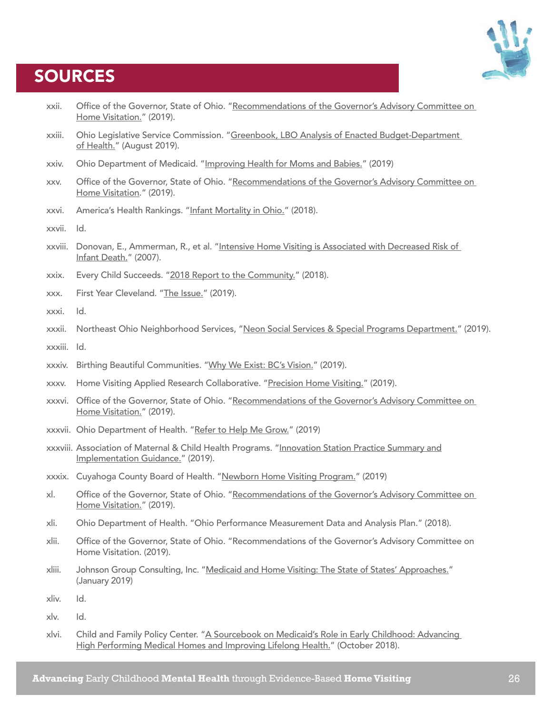# **SOURCES**



- xxii. Office of the Governor, State of Ohio. ["Recommendations of the Governor's Advisory Committee on](https://governor.ohio.gov/wps/portal/gov/governor/media/news-and-media/030819)  [Home Visitation.](https://governor.ohio.gov/wps/portal/gov/governor/media/news-and-media/030819)" (2019).
- xxiii. Ohio Legislative Service Commission. ["Greenbook, LBO Analysis of Enacted Budget-Department](https://www.lsc.ohio.gov/documents/budget/133/MainOperating/greenbook/DOH.PDF)  [of Health."](https://www.lsc.ohio.gov/documents/budget/133/MainOperating/greenbook/DOH.PDF) (August 2019).
- xxiv. Ohio Department of Medicaid. ["Improving Health for Moms and Babies."](https://medicaid.ohio.gov/Portals/0/Resources/Budget/ODM-Improving-Health-for-Moms-and-Babies.pdf) (2019)
- xxv. Office of the Governor, State of Ohio. ["Recommendations of the Governor's Advisory Committee on](https://governor.ohio.gov/wps/portal/gov/governor/media/news-and-media/030819)  [Home Visitation.](https://governor.ohio.gov/wps/portal/gov/governor/media/news-and-media/030819)" (2019).
- xxvi. America's Health Rankings. "[Infant Mortality in Ohio."](https://www.americashealthrankings.org/explore/annual/measure/IMR/state/OH) (2018).
- xxvii. Id.
- xxviii. Donovan, E., Ammerman, R., et al. "Intensive Home Visiting is Associated with Decreased Risk of [Infant Death."](https://pediatrics.aappublications.org/content/119/6/1145) (2007).
- xxix. Every Child Succeeds. "[2018 Report to the Community."](https://www.everychildsucceeds.org/wp-content/uploads/2019/01/ECS-AR-2018-WIP.pdf) (2018).
- xxx. First Year Cleveland. "[The Issue.](https://www.firstyearcleveland.org/the-issue)" (2019).
- xxxi. Id.
- xxxii. Northeast Ohio Neighborhood Services, "[Neon Social Services & Special Programs Department."](https://www.neonhealth.org/social-services) (2019).
- xxxiii. Id.
- xxxiv. Birthing Beautiful Communities. ["Why We Exist: BC's Vision."](https://www.birthingbeautiful.org/about.html) (2019).
- xxxv. Home Visiting Applied Research Collaborative. ["Precision Home Visiting.](https://www.hvresearch.org/precision-home-visiting/)" (2019).
- xxxvi. Office of the Governor, State of Ohio. ["Recommendations of the Governor's Advisory Committee on](https://governor.ohio.gov/wps/portal/gov/governor/media/news-and-media/030819)  [Home Visitation.](https://governor.ohio.gov/wps/portal/gov/governor/media/news-and-media/030819)" (2019).
- xxxvii. Ohio Department of Health. "[Refer to Help Me Grow."](https://odh.ohio.gov/wps/portal/gov/odh/know-our-programs/help-me-grow/Refer-to-Help-Me-Grow/) (2019)
- xxxviii. Association of Maternal & Child Health Programs. ["Innovation Station Practice Summary and](http://www.amchp.org/programsandtopics/BestPractices/InnovationStation/ISDocs/Pathways Community HUB.pdf)  [Implementation Guidance.](http://www.amchp.org/programsandtopics/BestPractices/InnovationStation/ISDocs/Pathways Community HUB.pdf)" (2019).
- xxxix. Cuyahoga County Board of Health. ["Newborn Home Visiting Program."](https://www.ccbh.net/newborn-home-visiting-program/) (2019)
- xl. Office of the Governor, State of Ohio. "Recommendations of the Governor's Advisory Committee on [Home Visitation.](https://governor.ohio.gov/wps/portal/gov/governor/media/news-and-media/030819)" (2019).
- xli. Ohio Department of Health. "Ohio Performance Measurement Data and Analysis Plan." (2018).
- xlii. Office of the Governor, State of Ohio. "Recommendations of the Governor's Advisory Committee on Home Visitation. (2019).
- xliii. Johnson Group Consulting, Inc. ["Medicaid and Home Visiting: The State of States' Approaches."](https://ccf.georgetown.edu/wp-content/uploads/2019/01/Medicaid-and-Home-Visiting.pdf) (January 2019)
- xliv. Id.
- xlv. Id.
- xlvi. Child and Family Policy Center. "[A Sourcebook on Medicaid's Role in Early Childhood: Advancing](https://www.cfpciowa.org/documents/filelibrary/medicaid_finance/section_pdfs/Combined_piece_5A8095C6D6B29.pdf)  [High Performing Medical Homes and Improving Lifelong Health."](https://www.cfpciowa.org/documents/filelibrary/medicaid_finance/section_pdfs/Combined_piece_5A8095C6D6B29.pdf) (October 2018).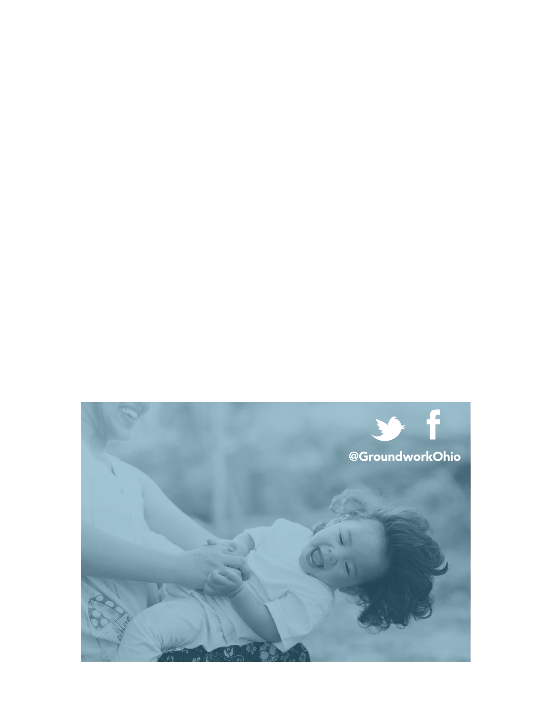